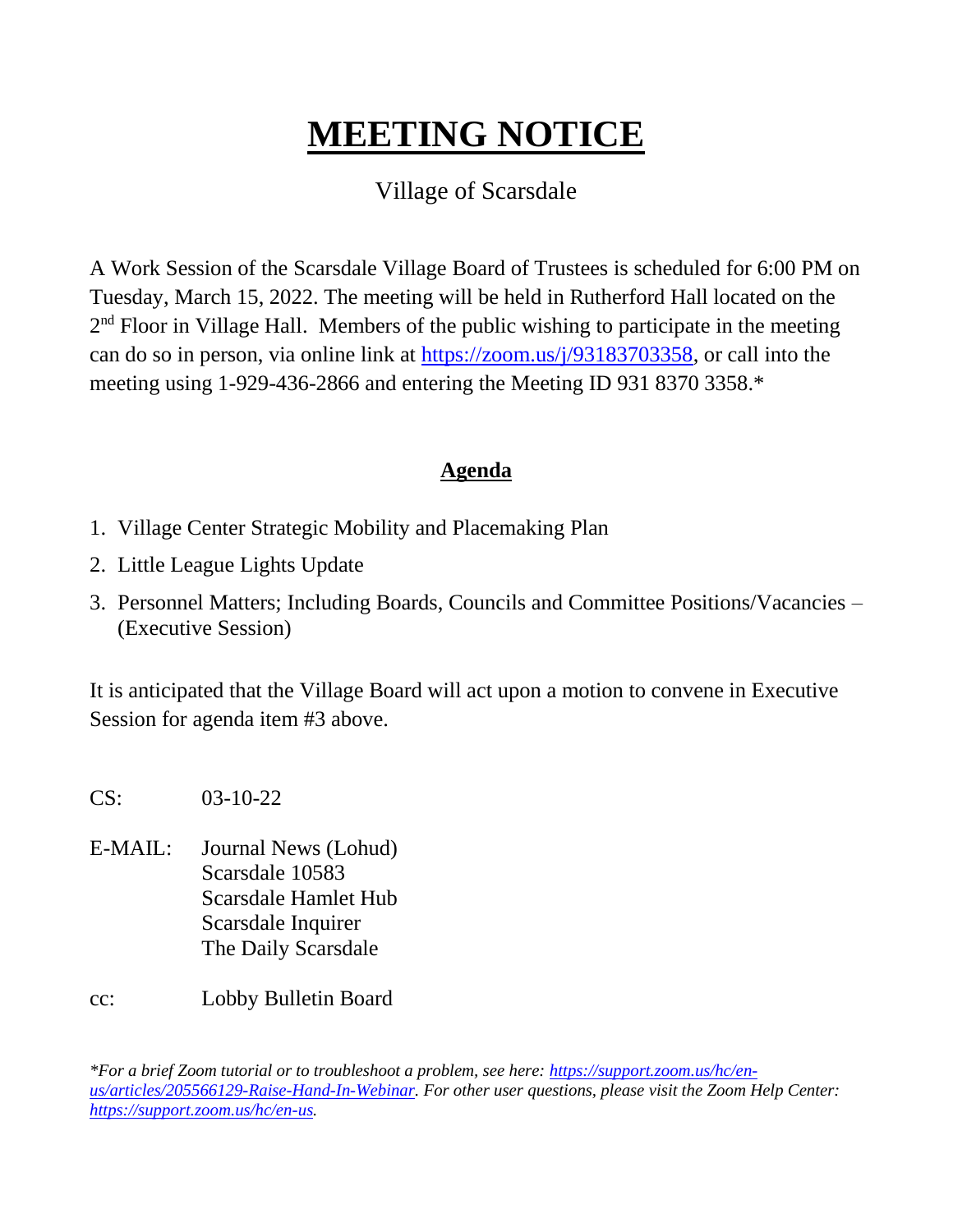# **MEETING NOTICE** Ι

### Village of Scarsdale

A Work Session of the Scarsdale Village Board of Trustees is scheduled for 6:00 PM on Tuesday, March 15, 2022. The meeting will be held in Rutherford Hall located on the  $2<sup>nd</sup>$  Floor in Village Hall. Members of the public wishing to participate in the meeting can do so in person, via online link at [https://zoom.us/j/93183703358,](https://zoom.us/j/93183703358) or call into the meeting using 1-929-436-2866 and entering the Meeting ID 931 8370 3358.\*

#### **Agenda**

- 1. Village Center Strategic Mobility and Placemaking Plan
- 2. Little League Lights Update
- 3. Personnel Matters; Including Boards, Councils and Committee Positions/Vacancies (Executive Session)

It is anticipated that the Village Board will act upon a motion to convene in Executive Session for agenda item #3 above.

CS: 03-10-22

E-MAIL: Journal News (Lohud) Scarsdale 10583 Scarsdale Hamlet Hub Scarsdale Inquirer The Daily Scarsdale

cc: Lobby Bulletin Board

*\*For a brief Zoom tutorial or to troubleshoot a problem, see here: [https://support.zoom.us/hc/en](https://support.zoom.us/hc/en-us/articles/205566129-Raise-Hand-In-Webinar)[us/articles/205566129-Raise-Hand-In-Webinar.](https://support.zoom.us/hc/en-us/articles/205566129-Raise-Hand-In-Webinar) For other user questions, please visit the Zoom Help Center: [https://support.zoom.us/hc/en-us.](https://support.zoom.us/hc/en-us)*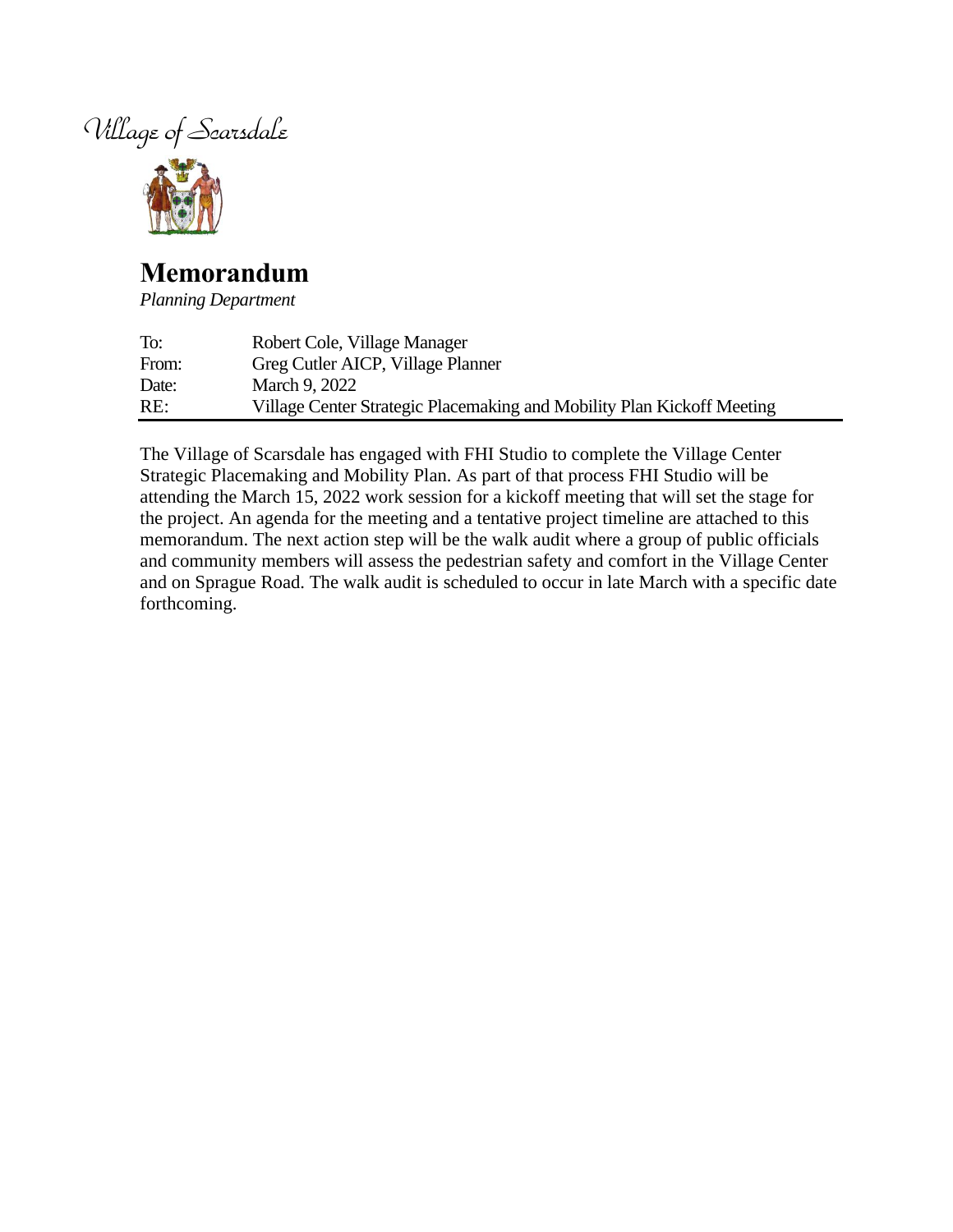



## **Memorandum**

*Planning Department*

| To:   | Robert Cole, Village Manager                                           |
|-------|------------------------------------------------------------------------|
| From: | Greg Cutler AICP, Village Planner                                      |
| Date: | March 9, 2022                                                          |
| RE:   | Village Center Strategic Placemaking and Mobility Plan Kickoff Meeting |

The Village of Scarsdale has engaged with FHI Studio to complete the Village Center Strategic Placemaking and Mobility Plan. As part of that process FHI Studio will be attending the March 15, 2022 work session for a kickoff meeting that will set the stage for the project. An agenda for the meeting and a tentative project timeline are attached to this memorandum. The next action step will be the walk audit where a group of public officials and community members will assess the pedestrian safety and comfort in the Village Center and on Sprague Road. The walk audit is scheduled to occur in late March with a specific date forthcoming.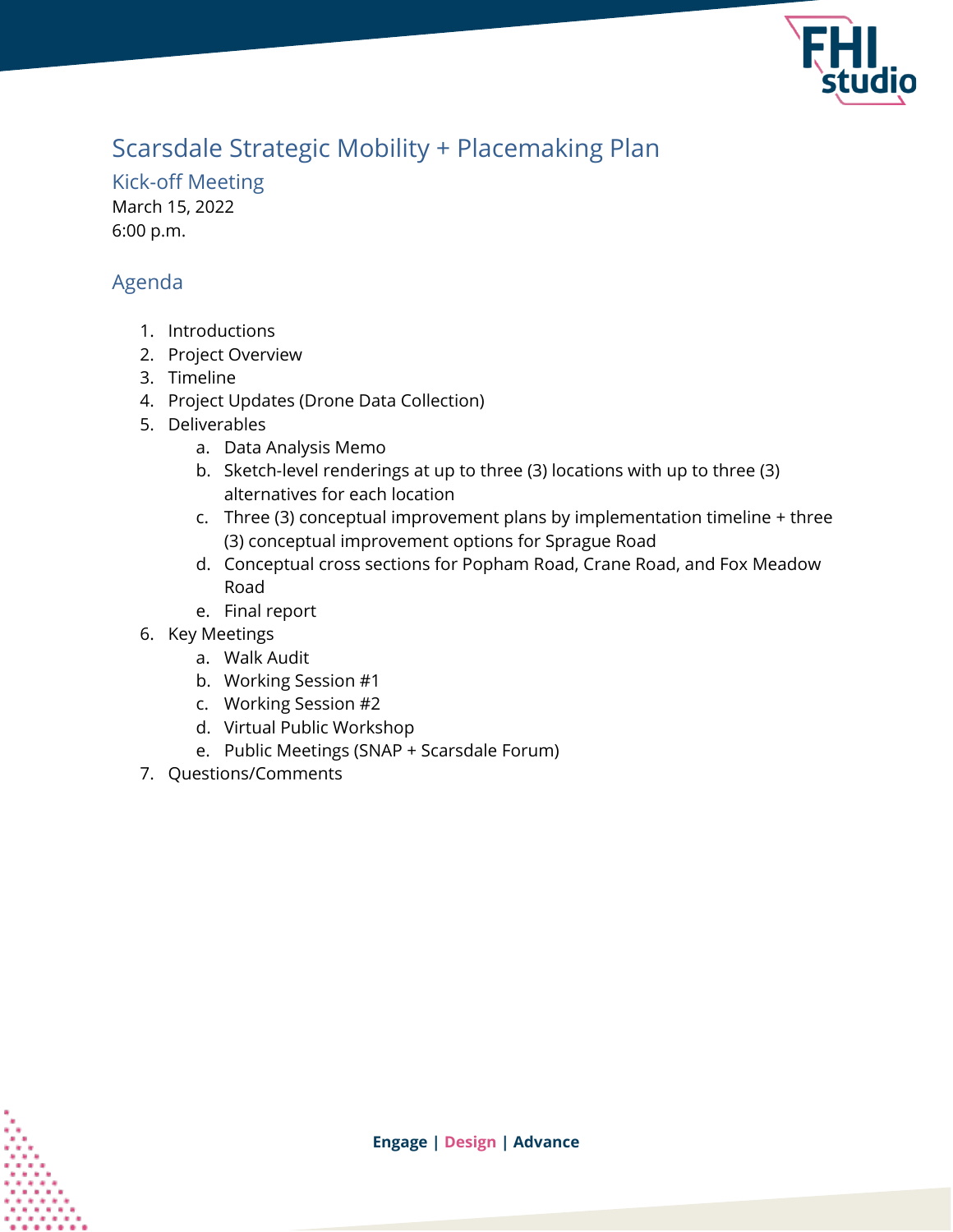

# Scarsdale Strategic Mobility + Placemaking Plan

Kick-off Meeting March 15, 2022 6:00 p.m.

### Agenda

- 1. Introductions
- 2. Project Overview
- 3. Timeline
- 4. Project Updates (Drone Data Collection)
- 5. Deliverables
	- a. Data Analysis Memo
	- b. Sketch-level renderings at up to three (3) locations with up to three (3) alternatives for each location
	- c. Three (3) conceptual improvement plans by implementation timeline + three (3) conceptual improvement options for Sprague Road
	- d. Conceptual cross sections for Popham Road, Crane Road, and Fox Meadow Road
	- e. Final report
- 6. Key Meetings
	- a. Walk Audit
	- b. Working Session #1
	- c. Working Session #2
	- d. Virtual Public Workshop
	- e. Public Meetings (SNAP + Scarsdale Forum)
- 7. Questions/Comments